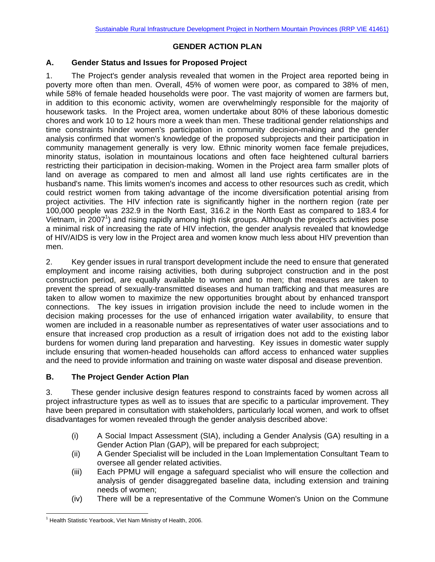## **GENDER ACTION PLAN**

## **A. Gender Status and Issues for Proposed Project**

1. The Project's gender analysis revealed that women in the Project area reported being in poverty more often than men. Overall, 45% of women were poor, as compared to 38% of men, while 58% of female headed households were poor. The vast majority of women are farmers but, in addition to this economic activity, women are overwhelmingly responsible for the majority of housework tasks. In the Project area, women undertake about 80% of these laborious domestic chores and work 10 to 12 hours more a week than men. These traditional gender relationships and time constraints hinder women's participation in community decision-making and the gender analysis confirmed that women's knowledge of the proposed subprojects and their participation in community management generally is very low. Ethnic minority women face female prejudices, minority status, isolation in mountainous locations and often face heightened cultural barriers restricting their participation in decision-making. Women in the Project area farm smaller plots of land on average as compared to men and almost all land use rights certificates are in the husband's name. This limits women's incomes and access to other resources such as credit, which could restrict women from taking advantage of the income diversification potential arising from project activities. The HIV infection rate is significantly higher in the northern region (rate per 100,000 people was 232.9 in the North East, 316.2 in the North East as compared to 183.4 for Vietnam, in 2007<sup>1</sup>) and rising rapidly among high risk groups. Although the project's activities pose a minimal risk of increasing the rate of HIV infection, the gender analysis revealed that knowledge of HIV/AIDS is very low in the Project area and women know much less about HIV prevention than men.

2. Key gender issues in rural transport development include the need to ensure that generated employment and income raising activities, both during subproject construction and in the post construction period, are equally available to women and to men; that measures are taken to prevent the spread of sexually-transmitted diseases and human trafficking and that measures are taken to allow women to maximize the new opportunities brought about by enhanced transport connections. The key issues in irrigation provision include the need to include women in the decision making processes for the use of enhanced irrigation water availability, to ensure that women are included in a reasonable number as representatives of water user associations and to ensure that increased crop production as a result of irrigation does not add to the existing labor burdens for women during land preparation and harvesting. Key issues in domestic water supply include ensuring that women-headed households can afford access to enhanced water supplies and the need to provide information and training on waste water disposal and disease prevention.

## **B. The Project Gender Action Plan**

3. These gender inclusive design features respond to constraints faced by women across all project infrastructure types as well as to issues that are specific to a particular improvement. They have been prepared in consultation with stakeholders, particularly local women, and work to offset disadvantages for women revealed through the gender analysis described above:

- (i) A Social Impact Assessment (SIA), including a Gender Analysis (GA) resulting in a Gender Action Plan (GAP), will be prepared for each subproject;
- (ii) A Gender Specialist will be included in the Loan Implementation Consultant Team to oversee all gender related activities.
- (iii) Each PPMU will engage a safeguard specialist who will ensure the collection and analysis of gender disaggregated baseline data, including extension and training needs of women;
- (iv) There will be a representative of the Commune Women's Union on the Commune

 <sup>1</sup> Health Statistic Yearbook, Viet Nam Ministry of Health, 2006.